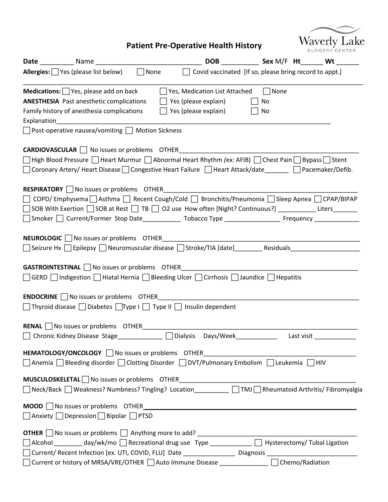## **Patient Pre-Operative Health History**

Waverly Lake

|                                                                                                                                                                                                                                                                                                                                                                   |                                                                                                                |          | SURGERY CENTER |
|-------------------------------------------------------------------------------------------------------------------------------------------------------------------------------------------------------------------------------------------------------------------------------------------------------------------------------------------------------------------|----------------------------------------------------------------------------------------------------------------|----------|----------------|
| <b>Allergies:</b> $\bigcap$ Yes (please list below) $\bigcap$ None                                                                                                                                                                                                                                                                                                | $\Box$ Covid vaccinated [If so, please bring record to appt.]                                                  |          |                |
| <b>Medications:</b> $\Box$ Yes, please add on back<br><b>ANESTHESIA</b> Past anesthetic complications<br>Family history of anesthesia complications                                                                                                                                                                                                               | $\Box$ Yes, Medication List Attached $\Box$ None<br>$\Box$ Yes (please explain)<br>$\Box$ Yes (please explain) | No<br>No |                |
| □ Post-operative nausea/vomiting □ Motion Sickness                                                                                                                                                                                                                                                                                                                |                                                                                                                |          |                |
| <b>CARDIOVASCULAR</b>   No issues or problems OTHER<br>  High Blood Pressure   Heart Murmur   Abnormal Heart Rhythm (ex: AFIB)   Chest Pain   Bypass   Stent<br>□ Coronary Artery/ Heart Disease □ Congestive Heart Failure □ Heart Attack/date □ □ Pacemaker/Defib.                                                                                              |                                                                                                                |          |                |
| RESPIRATORY No issues or problems OTHER<br>◯ COPD/ Emphysema Asthma S Recent Cough/Cold Bronchitis/Pneumonia Sleep Apnea CPAP/BIPAP<br>□ SOB With Exertion □ SOB at Rest □ TB □ O2 use How often [Night? Continuous?] ___________Liters________<br>□ Smoker □ Current/Former Stop Date______________ Tobacco Type _________________ Frequency ___________________ |                                                                                                                |          |                |
| □ Seizure Hx □ Epilepsy □ Neuromuscular disease □ Stroke/TIA [date] _________Residuals________________________                                                                                                                                                                                                                                                    |                                                                                                                |          |                |
| GASTROINTESTINAL TNo issues or problems OTHER<br>CONFIDERATION<br>□ GERD □ Indigestion □ Hiatal Hernia □ Bleeding Ulcer □ Cirrhosis □ Jaundice □ Hepatitis                                                                                                                                                                                                        |                                                                                                                |          |                |
| <b>ENDOCRINE</b> $\Box$ No issues or problems OTHER<br>$\Box$ Thyroid disease $\Box$ Diabetes $\Box$ Type I $\Box$ Type II $\Box$ Insulin dependent                                                                                                                                                                                                               |                                                                                                                |          |                |
| RENAL No issues or problems OTHER________                                                                                                                                                                                                                                                                                                                         |                                                                                                                |          |                |
| HEMATOLOGY/ONCOLOGY No issues or problems OTHER<br>$\Box$ Anemia $\Box$ Bleeding disorder $\Box$ Clotting Disorder $\Box$ DVT/Pulmonary Embolism $\Box$ Leukemia $\Box$ HIV                                                                                                                                                                                       |                                                                                                                |          |                |
|                                                                                                                                                                                                                                                                                                                                                                   |                                                                                                                |          |                |
| $\Box$ Anxiety $\Box$ Depression $\Box$ Bipolar $\Box$ PTSD                                                                                                                                                                                                                                                                                                       |                                                                                                                |          |                |
| □ Alcohol ________ day/wk/mo □ Recreational drug use Type ___________ □ Hysterectomy/ Tubal Ligation<br>Current/ Recent Infection [ex. UTI, COVID, FLU] Date _________________ Diagnosis _____________________________<br>□ Current or history of MRSA/VRE/OTHER □ Auto Immune Disease ____________ □ Chemo/Radiation                                             |                                                                                                                |          |                |